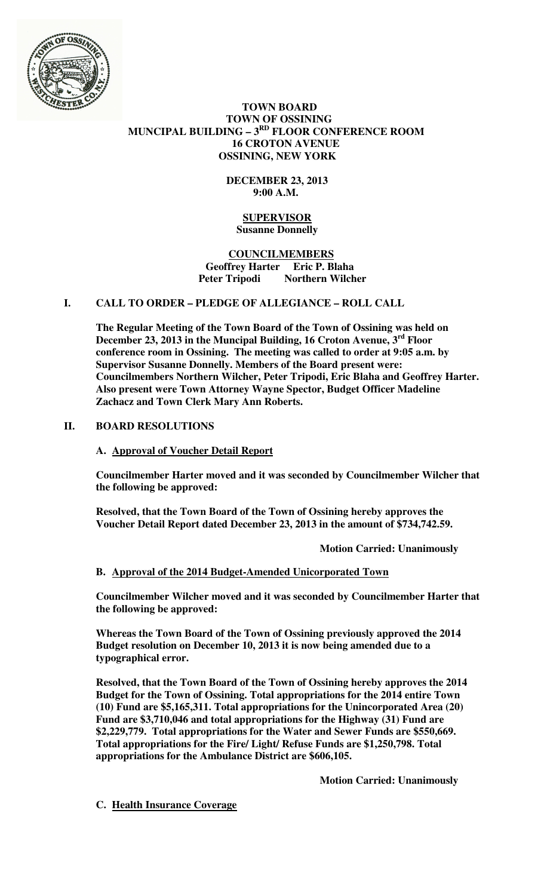

# **TOWN BOARD TOWN OF OSSINING MUNCIPAL BUILDING – 3RD FLOOR CONFERENCE ROOM 16 CROTON AVENUE OSSINING, NEW YORK**

# **DECEMBER 23, 2013 9:00 A.M.**

### **SUPERVISOR Susanne Donnelly**

#### **COUNCILMEMBERS Geoffrey Harter Eric P. Blaha**  Peter Tripodi Northern Wilcher

# **I. CALL TO ORDER – PLEDGE OF ALLEGIANCE – ROLL CALL**

**The Regular Meeting of the Town Board of the Town of Ossining was held on December 23, 2013 in the Muncipal Building, 16 Croton Avenue, 3rd Floor conference room in Ossining. The meeting was called to order at 9:05 a.m. by Supervisor Susanne Donnelly. Members of the Board present were: Councilmembers Northern Wilcher, Peter Tripodi, Eric Blaha and Geoffrey Harter. Also present were Town Attorney Wayne Spector, Budget Officer Madeline Zachacz and Town Clerk Mary Ann Roberts.** 

# **II. BOARD RESOLUTIONS**

# **A. Approval of Voucher Detail Report**

**Councilmember Harter moved and it was seconded by Councilmember Wilcher that the following be approved:** 

**Resolved, that the Town Board of the Town of Ossining hereby approves the Voucher Detail Report dated December 23, 2013 in the amount of \$734,742.59.** 

 **Motion Carried: Unanimously** 

# **B. Approval of the 2014 Budget-Amended Unicorporated Town**

**Councilmember Wilcher moved and it was seconded by Councilmember Harter that the following be approved:** 

**Whereas the Town Board of the Town of Ossining previously approved the 2014 Budget resolution on December 10, 2013 it is now being amended due to a typographical error.** 

**Resolved, that the Town Board of the Town of Ossining hereby approves the 2014 Budget for the Town of Ossining. Total appropriations for the 2014 entire Town (10) Fund are \$5,165,311. Total appropriations for the Unincorporated Area (20) Fund are \$3,710,046 and total appropriations for the Highway (31) Fund are \$2,229,779. Total appropriations for the Water and Sewer Funds are \$550,669. Total appropriations for the Fire/ Light/ Refuse Funds are \$1,250,798. Total appropriations for the Ambulance District are \$606,105.** 

 **Motion Carried: Unanimously** 

**C. Health Insurance Coverage**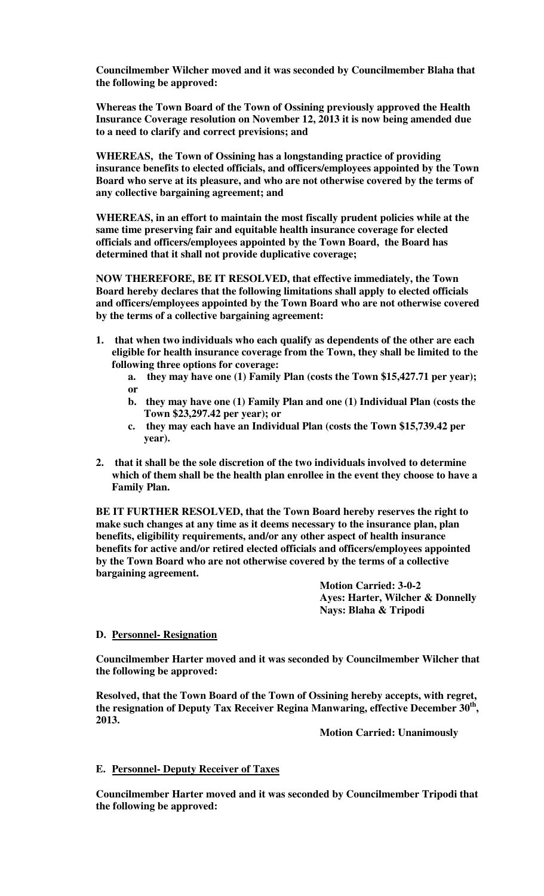**Councilmember Wilcher moved and it was seconded by Councilmember Blaha that the following be approved:** 

**Whereas the Town Board of the Town of Ossining previously approved the Health Insurance Coverage resolution on November 12, 2013 it is now being amended due to a need to clarify and correct previsions; and** 

**WHEREAS, the Town of Ossining has a longstanding practice of providing insurance benefits to elected officials, and officers/employees appointed by the Town Board who serve at its pleasure, and who are not otherwise covered by the terms of any collective bargaining agreement; and** 

**WHEREAS, in an effort to maintain the most fiscally prudent policies while at the same time preserving fair and equitable health insurance coverage for elected officials and officers/employees appointed by the Town Board, the Board has determined that it shall not provide duplicative coverage;**

**NOW THEREFORE, BE IT RESOLVED, that effective immediately, the Town Board hereby declares that the following limitations shall apply to elected officials and officers/employees appointed by the Town Board who are not otherwise covered by the terms of a collective bargaining agreement:** 

- **1. that when two individuals who each qualify as dependents of the other are each eligible for health insurance coverage from the Town, they shall be limited to the following three options for coverage:** 
	- **a. they may have one (1) Family Plan (costs the Town \$15,427.71 per year); or**
	- **b. they may have one (1) Family Plan and one (1) Individual Plan (costs the Town \$23,297.42 per year); or**
	- **c. they may each have an Individual Plan (costs the Town \$15,739.42 per year).**
- **2. that it shall be the sole discretion of the two individuals involved to determine which of them shall be the health plan enrollee in the event they choose to have a Family Plan.**

**BE IT FURTHER RESOLVED, that the Town Board hereby reserves the right to make such changes at any time as it deems necessary to the insurance plan, plan benefits, eligibility requirements, and/or any other aspect of health insurance benefits for active and/or retired elected officials and officers/employees appointed by the Town Board who are not otherwise covered by the terms of a collective bargaining agreement.**

> **Motion Carried: 3-0-2 Ayes: Harter, Wilcher & Donnelly Nays: Blaha & Tripodi**

### **D. Personnel- Resignation**

**Councilmember Harter moved and it was seconded by Councilmember Wilcher that the following be approved:** 

**Resolved, that the Town Board of the Town of Ossining hereby accepts, with regret, the resignation of Deputy Tax Receiver Regina Manwaring, effective December 30th , 2013.** 

 **Motion Carried: Unanimously** 

# **E. Personnel- Deputy Receiver of Taxes**

**Councilmember Harter moved and it was seconded by Councilmember Tripodi that the following be approved:**